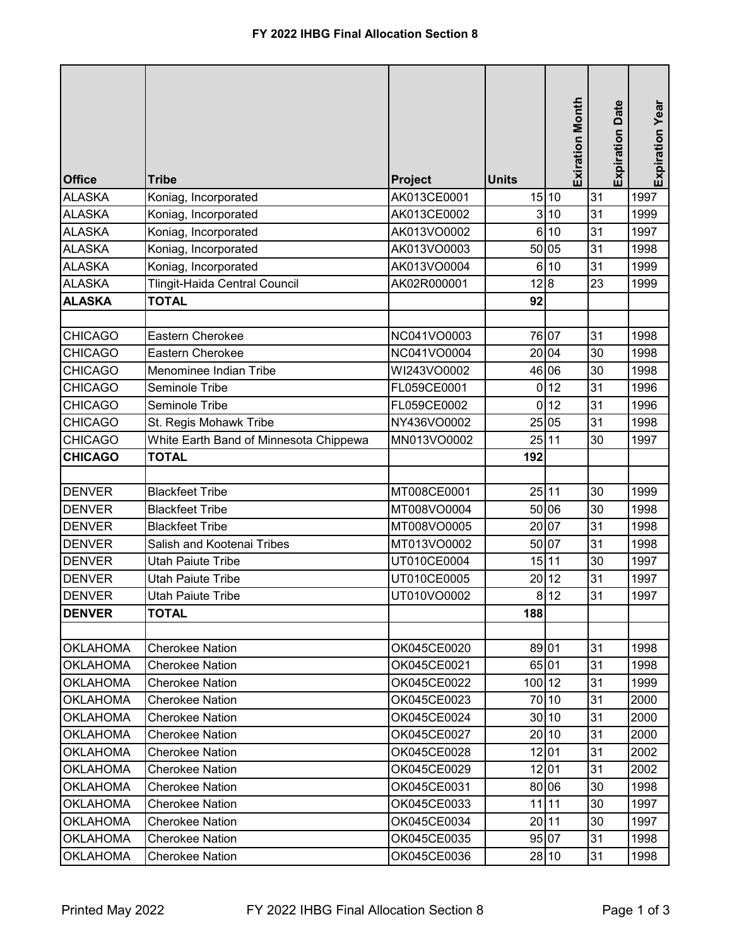| <b>Office</b>   | <b>Tribe</b>                           | Project     | <b>Units</b>   | <b>Exiration Month</b> | <b>Expiration Date</b> | Expiration Year |
|-----------------|----------------------------------------|-------------|----------------|------------------------|------------------------|-----------------|
| <b>ALASKA</b>   | Koniag, Incorporated                   | AK013CE0001 |                | 15 10                  | 31                     | 1997            |
| <b>ALASKA</b>   | Koniag, Incorporated                   | AK013CE0002 |                | 3 10                   | 31                     | 1999            |
| <b>ALASKA</b>   | Koniag, Incorporated                   | AK013VO0002 | 6              | 10                     | 31                     | 1997            |
| <b>ALASKA</b>   | Koniag, Incorporated                   | AK013VO0003 |                | 50 05                  | 31                     | 1998            |
| <b>ALASKA</b>   | Koniag, Incorporated                   | AK013VO0004 |                | 6 10                   | 31                     | 1999            |
| <b>ALASKA</b>   | Tlingit-Haida Central Council          | AK02R000001 | 12 8           |                        | 23                     | 1999            |
| <b>ALASKA</b>   | <b>TOTAL</b>                           |             | 92             |                        |                        |                 |
|                 |                                        |             |                |                        |                        |                 |
| <b>CHICAGO</b>  | Eastern Cherokee                       | NC041VO0003 |                | 76 07                  | 31                     | 1998            |
| <b>CHICAGO</b>  | Eastern Cherokee                       | NC041VO0004 |                | 20 04                  | 30                     | 1998            |
| <b>CHICAGO</b>  | Menominee Indian Tribe                 | WI243VO0002 |                | 46 06                  | 30                     | 1998            |
| <b>CHICAGO</b>  | Seminole Tribe                         | FL059CE0001 | $\overline{0}$ | 12                     | 31                     | 1996            |
| <b>CHICAGO</b>  | Seminole Tribe                         | FL059CE0002 |                | $0$ 12                 | 31                     | 1996            |
| <b>CHICAGO</b>  | St. Regis Mohawk Tribe                 | NY436VO0002 |                | 25 05                  | 31                     | 1998            |
| <b>CHICAGO</b>  | White Earth Band of Minnesota Chippewa | MN013VO0002 |                | 25 11                  | 30                     | 1997            |
| <b>CHICAGO</b>  | <b>TOTAL</b>                           |             | 192            |                        |                        |                 |
|                 |                                        |             |                |                        |                        |                 |
| <b>DENVER</b>   | <b>Blackfeet Tribe</b>                 | MT008CE0001 |                | 25 11                  | 30                     | 1999            |
| <b>DENVER</b>   | <b>Blackfeet Tribe</b>                 | MT008VO0004 |                | 50 06                  | 30                     | 1998            |
| <b>DENVER</b>   | <b>Blackfeet Tribe</b>                 | MT008VO0005 |                | 20 07                  | 31                     | 1998            |
| <b>DENVER</b>   | Salish and Kootenai Tribes             | MT013VO0002 |                | 50 07                  | 31                     | 1998            |
| <b>DENVER</b>   | <b>Utah Paiute Tribe</b>               | UT010CE0004 |                | 15 11                  | 30                     | 1997            |
| <b>DENVER</b>   | <b>Utah Paiute Tribe</b>               | UT010CE0005 | 20             | 12                     | 31                     | 1997            |
| <b>DENVER</b>   | <b>Utah Paiute Tribe</b>               | UT010VO0002 |                | 8 12                   | 31                     | 1997            |
| <b>DENVER</b>   | <b>TOTAL</b>                           |             | 188            |                        |                        |                 |
|                 |                                        |             |                |                        |                        |                 |
| <b>OKLAHOMA</b> | <b>Cherokee Nation</b>                 | OK045CE0020 |                | 89 01                  | 31                     | 1998            |
| <b>OKLAHOMA</b> | <b>Cherokee Nation</b>                 | OK045CE0021 |                | 65 01                  | 31                     | 1998            |
| <b>OKLAHOMA</b> | <b>Cherokee Nation</b>                 | OK045CE0022 | 100 12         |                        | 31                     | 1999            |
| <b>OKLAHOMA</b> | <b>Cherokee Nation</b>                 | OK045CE0023 |                | 70 10                  | 31                     | 2000            |
| <b>OKLAHOMA</b> | <b>Cherokee Nation</b>                 | OK045CE0024 |                | 30 10                  | 31                     | 2000            |
| <b>OKLAHOMA</b> | <b>Cherokee Nation</b>                 | OK045CE0027 |                | 20 10                  | 31                     | 2000            |
| <b>OKLAHOMA</b> | <b>Cherokee Nation</b>                 | OK045CE0028 |                | 12 01                  | 31                     | 2002            |
| <b>OKLAHOMA</b> | <b>Cherokee Nation</b>                 | OK045CE0029 |                | 12 01                  | 31                     | 2002            |
| <b>OKLAHOMA</b> | <b>Cherokee Nation</b>                 | OK045CE0031 |                | 80 06                  | 30                     | 1998            |
| <b>OKLAHOMA</b> | <b>Cherokee Nation</b>                 | OK045CE0033 |                | $11$   11              | 30                     | 1997            |
| <b>OKLAHOMA</b> | <b>Cherokee Nation</b>                 | OK045CE0034 |                | 20 11                  | 30                     | 1997            |
| <b>OKLAHOMA</b> | <b>Cherokee Nation</b>                 | OK045CE0035 |                | 95 07                  | 31                     | 1998            |
| <b>OKLAHOMA</b> | <b>Cherokee Nation</b>                 | OK045CE0036 |                | 28 10                  | 31                     | 1998            |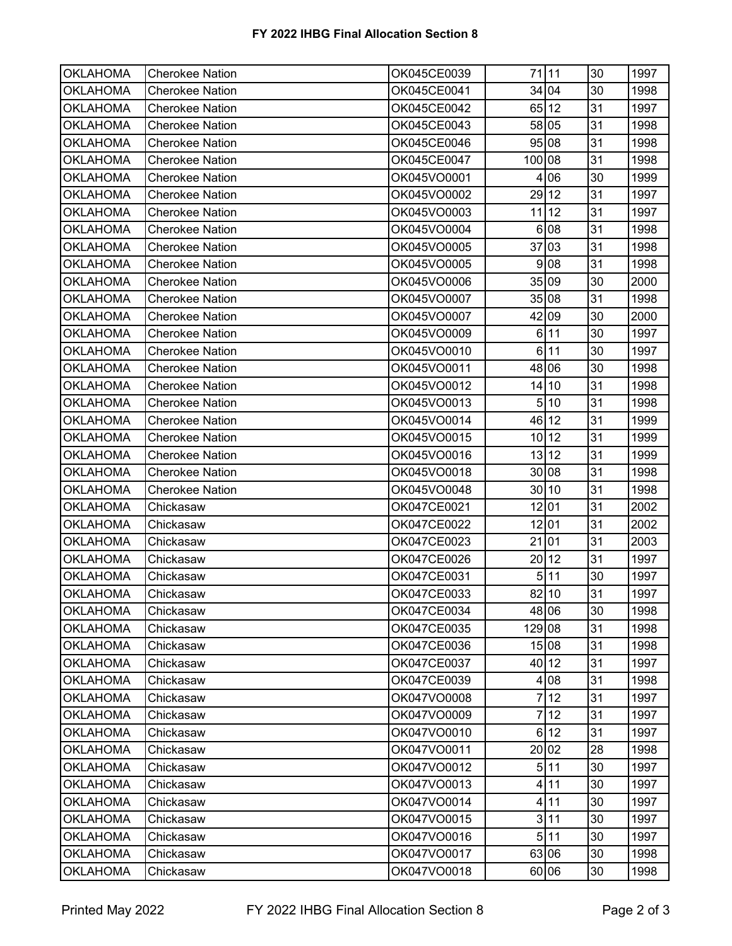| <b>OKLAHOMA</b> | <b>Cherokee Nation</b> | OK045CE0039 |                | 71 11   | 30 | 1997 |
|-----------------|------------------------|-------------|----------------|---------|----|------|
| <b>OKLAHOMA</b> | <b>Cherokee Nation</b> | OK045CE0041 |                | 34 04   | 30 | 1998 |
| <b>OKLAHOMA</b> | <b>Cherokee Nation</b> | OK045CE0042 |                | 65 12   | 31 | 1997 |
| <b>OKLAHOMA</b> | Cherokee Nation        | OK045CE0043 |                | 58 05   | 31 | 1998 |
| <b>OKLAHOMA</b> | <b>Cherokee Nation</b> | OK045CE0046 |                | 95 08   | 31 | 1998 |
| <b>OKLAHOMA</b> | Cherokee Nation        | OK045CE0047 | 100 08         |         | 31 | 1998 |
| <b>OKLAHOMA</b> | <b>Cherokee Nation</b> | OK045VO0001 | 4              | 06      | 30 | 1999 |
| <b>OKLAHOMA</b> | <b>Cherokee Nation</b> | OK045VO0002 |                | 29 12   | 31 | 1997 |
| <b>OKLAHOMA</b> | <b>Cherokee Nation</b> | OK045VO0003 |                | $11$ 12 | 31 | 1997 |
| <b>OKLAHOMA</b> | <b>Cherokee Nation</b> | OK045VO0004 |                | 6 08    | 31 | 1998 |
| <b>OKLAHOMA</b> | Cherokee Nation        | OK045VO0005 |                | 37 03   | 31 | 1998 |
| <b>OKLAHOMA</b> | <b>Cherokee Nation</b> | OK045VO0005 |                | 9 08    | 31 | 1998 |
| <b>OKLAHOMA</b> | Cherokee Nation        | OK045VO0006 |                | 35 09   | 30 | 2000 |
| <b>OKLAHOMA</b> | <b>Cherokee Nation</b> | OK045VO0007 |                | 35 08   | 31 | 1998 |
| <b>OKLAHOMA</b> | <b>Cherokee Nation</b> | OK045VO0007 |                | 42 09   | 30 | 2000 |
| <b>OKLAHOMA</b> | <b>Cherokee Nation</b> | OK045VO0009 |                | 6 11    | 30 | 1997 |
| <b>OKLAHOMA</b> | <b>Cherokee Nation</b> | OK045VO0010 |                | 6 11    | 30 | 1997 |
| <b>OKLAHOMA</b> | Cherokee Nation        | OK045VO0011 |                | 48 06   | 30 | 1998 |
| <b>OKLAHOMA</b> | <b>Cherokee Nation</b> | OK045VO0012 |                | $14$ 10 | 31 | 1998 |
| <b>OKLAHOMA</b> | <b>Cherokee Nation</b> | OK045VO0013 |                | 510     | 31 | 1998 |
| <b>OKLAHOMA</b> | <b>Cherokee Nation</b> | OK045VO0014 |                | 46 12   | 31 | 1999 |
| <b>OKLAHOMA</b> | <b>Cherokee Nation</b> | OK045VO0015 |                | 10 12   | 31 | 1999 |
| <b>OKLAHOMA</b> | <b>Cherokee Nation</b> | OK045VO0016 |                | 13 12   | 31 | 1999 |
| <b>OKLAHOMA</b> | Cherokee Nation        | OK045VO0018 |                | 30 08   | 31 | 1998 |
| <b>OKLAHOMA</b> | Cherokee Nation        | OK045VO0048 |                | 30 10   | 31 | 1998 |
| <b>OKLAHOMA</b> | Chickasaw              | OK047CE0021 |                | 12 01   | 31 | 2002 |
| <b>OKLAHOMA</b> | Chickasaw              | OK047CE0022 |                | 12 01   | 31 | 2002 |
| <b>OKLAHOMA</b> | Chickasaw              | OK047CE0023 |                | 21 01   | 31 | 2003 |
| <b>OKLAHOMA</b> | Chickasaw              | OK047CE0026 |                | 20 12   | 31 | 1997 |
| <b>OKLAHOMA</b> | Chickasaw              | OK047CE0031 |                | 511     | 30 | 1997 |
| <b>OKLAHOMA</b> | Chickasaw              | OK047CE0033 |                | 82 10   | 31 | 1997 |
| <b>OKLAHOMA</b> | Chickasaw              | OK047CE0034 |                | 48 06   | 30 | 1998 |
| <b>OKLAHOMA</b> | Chickasaw              | OK047CE0035 | 129 08         |         | 31 | 1998 |
| <b>OKLAHOMA</b> | Chickasaw              | OK047CE0036 |                | 15 08   | 31 | 1998 |
| <b>OKLAHOMA</b> | Chickasaw              | OK047CE0037 |                | 40 12   | 31 | 1997 |
| <b>OKLAHOMA</b> | Chickasaw              | OK047CE0039 | 4              | 08      | 31 | 1998 |
| <b>OKLAHOMA</b> | Chickasaw              | OK047VO0008 | 7              | 12      | 31 | 1997 |
| <b>OKLAHOMA</b> | Chickasaw              | OK047VO0009 | $\overline{7}$ | 12      | 31 | 1997 |
| <b>OKLAHOMA</b> | Chickasaw              | OK047VO0010 |                | 6 12    | 31 | 1997 |
| <b>OKLAHOMA</b> | Chickasaw              | OK047VO0011 |                | 20 02   | 28 | 1998 |
| <b>OKLAHOMA</b> | Chickasaw              | OK047VO0012 |                | 511     | 30 | 1997 |
| <b>OKLAHOMA</b> | Chickasaw              | OK047VO0013 |                | 4 11    | 30 | 1997 |
| <b>OKLAHOMA</b> | Chickasaw              | OK047VO0014 |                | 4 11    | 30 | 1997 |
| <b>OKLAHOMA</b> | Chickasaw              | OK047VO0015 |                | 3 11    | 30 | 1997 |
| <b>OKLAHOMA</b> | Chickasaw              | OK047VO0016 |                | 511     | 30 | 1997 |
| <b>OKLAHOMA</b> | Chickasaw              | OK047VO0017 |                | 63 06   | 30 | 1998 |
| <b>OKLAHOMA</b> | Chickasaw              | OK047VO0018 |                | 60 06   | 30 | 1998 |